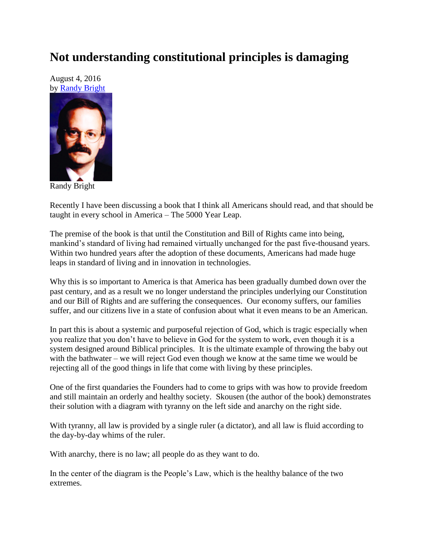## **Not understanding constitutional principles is damaging**

August 4, 2016 by [Randy Bright](http://tulsabeacon.com/writers/randy-bright/)



Randy Bright

Recently I have been discussing a book that I think all Americans should read, and that should be taught in every school in America – The 5000 Year Leap.

The premise of the book is that until the Constitution and Bill of Rights came into being, mankind's standard of living had remained virtually unchanged for the past five-thousand years. Within two hundred years after the adoption of these documents, Americans had made huge leaps in standard of living and in innovation in technologies.

Why this is so important to America is that America has been gradually dumbed down over the past century, and as a result we no longer understand the principles underlying our Constitution and our Bill of Rights and are suffering the consequences. Our economy suffers, our families suffer, and our citizens live in a state of confusion about what it even means to be an American.

In part this is about a systemic and purposeful rejection of God, which is tragic especially when you realize that you don"t have to believe in God for the system to work, even though it is a system designed around Biblical principles. It is the ultimate example of throwing the baby out with the bathwater – we will reject God even though we know at the same time we would be rejecting all of the good things in life that come with living by these principles.

One of the first quandaries the Founders had to come to grips with was how to provide freedom and still maintain an orderly and healthy society. Skousen (the author of the book) demonstrates their solution with a diagram with tyranny on the left side and anarchy on the right side.

With tyranny, all law is provided by a single ruler (a dictator), and all law is fluid according to the day-by-day whims of the ruler.

With anarchy, there is no law; all people do as they want to do.

In the center of the diagram is the People"s Law, which is the healthy balance of the two extremes.